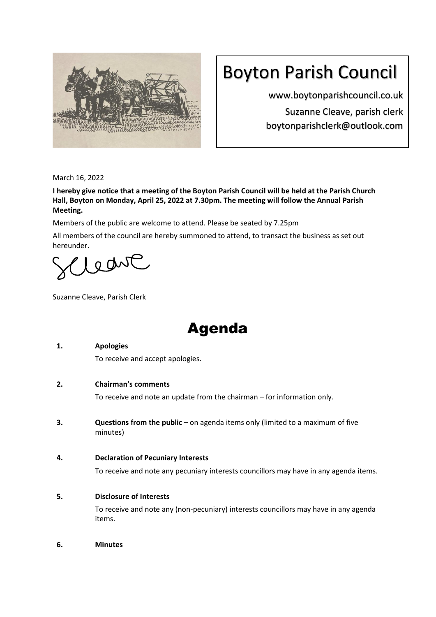

# Boyton Parish Council

www.boytonparishcouncil.co.uk Suzanne Cleave, parish clerk boytonparishclerk@outlook.com

March 16, 2022

**I hereby give notice that a meeting of the Boyton Parish Council will be held at the Parish Church Hall, Boyton on Monday, April 25, 2022 at 7.30pm. The meeting will follow the Annual Parish Meeting.**

Members of the public are welcome to attend. Please be seated by 7.25pm

All members of the council are hereby summoned to attend, to transact the business as set out hereunder.

lednt

Suzanne Cleave, Parish Clerk

## Agenda

## **1. Apologies**

To receive and accept apologies.

## **2. Chairman's comments**

To receive and note an update from the chairman – for information only.

**3. Questions from the public** – on agenda items only (limited to a maximum of five minutes)

## **4. Declaration of Pecuniary Interests**

To receive and note any pecuniary interests councillors may have in any agenda items.

## **5. Disclosure of Interests**

To receive and note any (non-pecuniary) interests councillors may have in any agenda items.

**6. Minutes**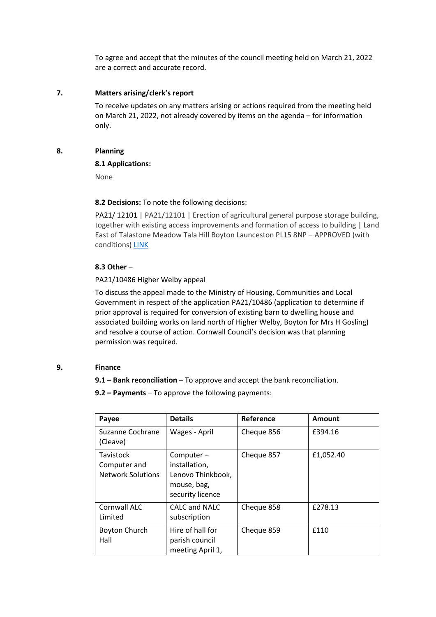To agree and accept that the minutes of the council meeting held on March 21, 2022 are a correct and accurate record.

#### **7. Matters arising/clerk's report**

To receive updates on any matters arising or actions required from the meeting held on March 21, 2022, not already covered by items on the agenda – for information only.

#### **8. Planning**

#### **8.1 Applications:**

None

#### **8.2 Decisions:** To note the following decisions:

PA21/ 12101 | PA21/12101 | Erection of agricultural general purpose storage building, together with existing access improvements and formation of access to building | Land East of Talastone Meadow Tala Hill Boyton Launceston PL15 8NP – APPROVED (with conditions) [LINK](https://planning.cornwall.gov.uk/online-applications/files/8646D73F90A04DF3DD58D82F6B3A08BF/pdf/PA21_12101-ACFULZ_-_CONDITIONAL_APPROVAL-6277728.pdf)

## **8.3 Other** –

#### PA21/10486 Higher Welby appeal

To discuss the appeal made to the Ministry of Housing, Communities and Local Government in respect of the application PA21/10486 (application to determine if prior approval is required for conversion of existing barn to dwelling house and associated building works on land north of Higher Welby, Boyton for Mrs H Gosling) and resolve a course of action. Cornwall Council's decision was that planning permission was required.

#### **9. Finance**

**9.1 – Bank reconciliation** – To approve and accept the bank reconciliation.

**9.2 – Payments** – To approve the following payments:

| Payee                                                 | <b>Details</b>                                                                     | Reference  | Amount    |
|-------------------------------------------------------|------------------------------------------------------------------------------------|------------|-----------|
| Suzanne Cochrane<br>(Cleave)                          | Wages - April                                                                      | Cheque 856 | £394.16   |
| Tavistock<br>Computer and<br><b>Network Solutions</b> | Computer-<br>installation,<br>Lenovo Thinkbook,<br>mouse, bag,<br>security licence | Cheque 857 | £1,052.40 |
| Cornwall ALC<br>Limited                               | <b>CALC and NALC</b><br>subscription                                               | Cheque 858 | £278.13   |
| <b>Boyton Church</b><br>Hall                          | Hire of hall for<br>parish council<br>meeting April 1,                             | Cheque 859 | £110      |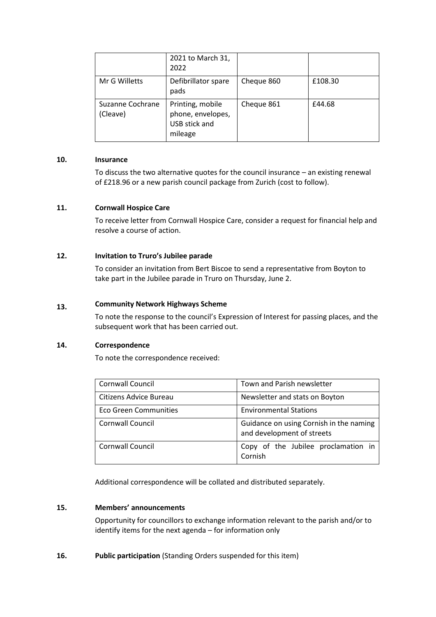|                              | 2021 to March 31,<br>2022                                         |            |         |
|------------------------------|-------------------------------------------------------------------|------------|---------|
| Mr G Willetts                | Defibrillator spare<br>pads                                       | Cheque 860 | £108.30 |
| Suzanne Cochrane<br>(Cleave) | Printing, mobile<br>phone, envelopes,<br>USB stick and<br>mileage | Cheque 861 | £44.68  |

#### **10. Insurance**

To discuss the two alternative quotes for the council insurance – an existing renewal of £218.96 or a new parish council package from Zurich (cost to follow).

#### **11. Cornwall Hospice Care**

To receive letter from Cornwall Hospice Care, consider a request for financial help and resolve a course of action.

#### **12. Invitation to Truro's Jubilee parade**

To consider an invitation from Bert Biscoe to send a representative from Boyton to take part in the Jubilee parade in Truro on Thursday, June 2.

#### **13. Community Network Highways Scheme**

To note the response to the council's Expression of Interest for passing places, and the subsequent work that has been carried out.

#### **14. Correspondence**

To note the correspondence received:

| Cornwall Council             | Town and Parish newsletter                                            |  |
|------------------------------|-----------------------------------------------------------------------|--|
| Citizens Advice Bureau       | Newsletter and stats on Boyton                                        |  |
| <b>Eco Green Communities</b> | <b>Environmental Stations</b>                                         |  |
| <b>Cornwall Council</b>      | Guidance on using Cornish in the naming<br>and development of streets |  |
| <b>Cornwall Council</b>      | Copy of the Jubilee proclamation in<br>Cornish                        |  |

Additional correspondence will be collated and distributed separately.

#### **15. Members' announcements**

Opportunity for councillors to exchange information relevant to the parish and/or to identify items for the next agenda – for information only

**16. Public participation** (Standing Orders suspended for this item)